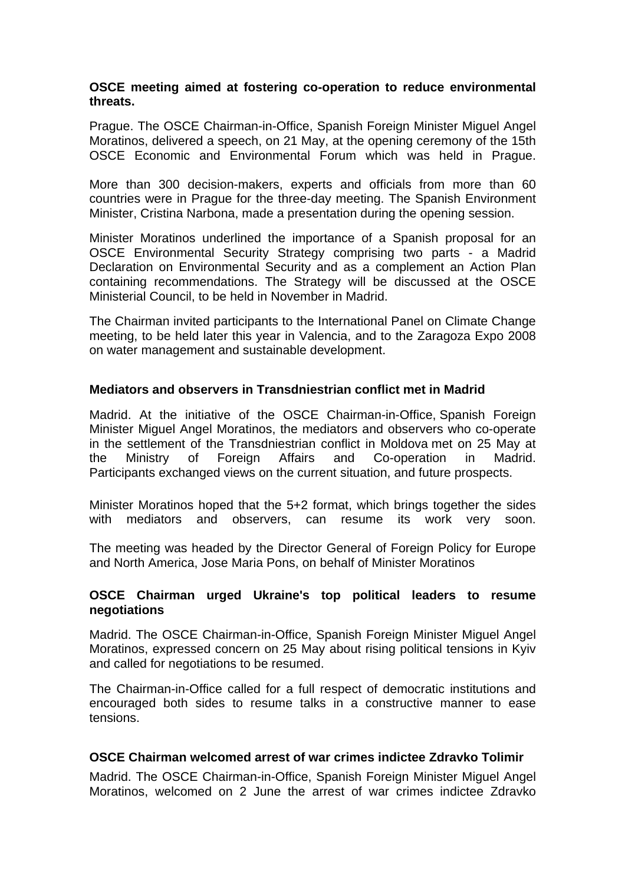### **OSCE meeting aimed at fostering co-operation to reduce environmental threats.**

Prague. The OSCE Chairman-in-Office, Spanish Foreign Minister Miguel Angel Moratinos, delivered a speech, on 21 May, at the opening ceremony of the 15th OSCE Economic and Environmental Forum which was held in Prague.

More than 300 decision-makers, experts and officials from more than 60 countries were in Prague for the three-day meeting. The Spanish Environment Minister, Cristina Narbona, made a presentation during the opening session.

Minister Moratinos underlined the importance of a Spanish proposal for an OSCE Environmental Security Strategy comprising two parts - a Madrid Declaration on Environmental Security and as a complement an Action Plan containing recommendations. The Strategy will be discussed at the OSCE Ministerial Council, to be held in November in Madrid.

The Chairman invited participants to the International Panel on Climate Change meeting, to be held later this year in Valencia, and to the Zaragoza Expo 2008 on water management and sustainable development.

# **Mediators and observers in Transdniestrian conflict met in Madrid**

Madrid. At the initiative of the OSCE Chairman-in-Office, Spanish Foreign Minister Miguel Angel Moratinos, the mediators and observers who co-operate in the settlement of the Transdniestrian conflict in Moldova met on 25 May at the Ministry of Foreign Affairs and Co-operation in Madrid. Participants exchanged views on the current situation, and future prospects.

Minister Moratinos hoped that the 5+2 format, which brings together the sides with mediators and observers, can resume its work very soon.

The meeting was headed by the Director General of Foreign Policy for Europe and North America, Jose Maria Pons, on behalf of Minister Moratinos

## **OSCE Chairman urged Ukraine's top political leaders to resume negotiations**

Madrid. The OSCE Chairman-in-Office, Spanish Foreign Minister Miguel Angel Moratinos, expressed concern on 25 May about rising political tensions in Kyiv and called for negotiations to be resumed.

The Chairman-in-Office called for a full respect of democratic institutions and encouraged both sides to resume talks in a constructive manner to ease tensions.

## **OSCE Chairman welcomed arrest of war crimes indictee Zdravko Tolimir**

Madrid. The OSCE Chairman-in-Office, Spanish Foreign Minister Miguel Angel Moratinos, welcomed on 2 June the arrest of war crimes indictee Zdravko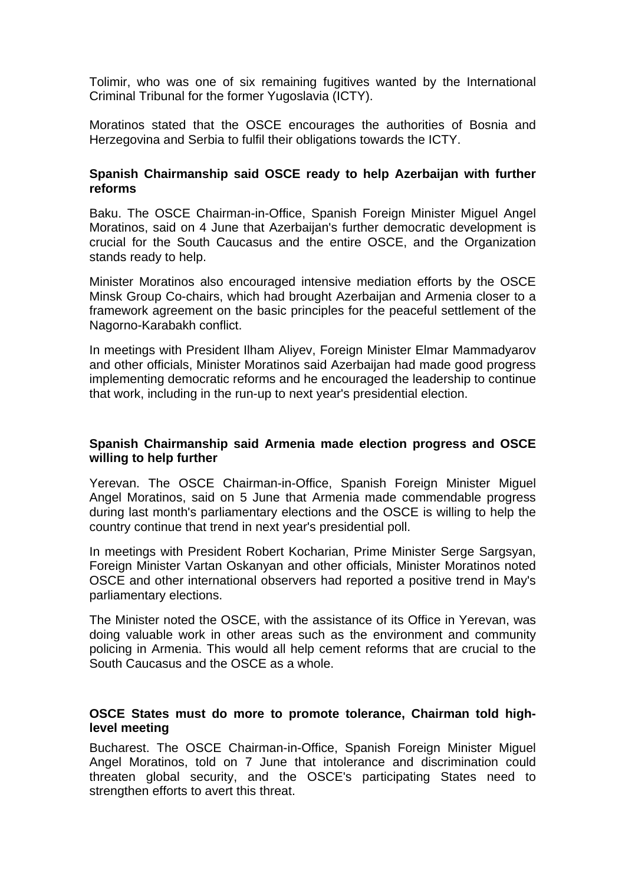Tolimir, who was one of six remaining fugitives wanted by the International Criminal Tribunal for the former Yugoslavia (ICTY).

Moratinos stated that the OSCE encourages the authorities of Bosnia and Herzegovina and Serbia to fulfil their obligations towards the ICTY.

## **Spanish Chairmanship said OSCE ready to help Azerbaijan with further reforms**

Baku. The OSCE Chairman-in-Office, Spanish Foreign Minister Miguel Angel Moratinos, said on 4 June that Azerbaijan's further democratic development is crucial for the South Caucasus and the entire OSCE, and the Organization stands ready to help.

Minister Moratinos also encouraged intensive mediation efforts by the OSCE Minsk Group Co-chairs, which had brought Azerbaijan and Armenia closer to a framework agreement on the basic principles for the peaceful settlement of the Nagorno-Karabakh conflict.

In meetings with President Ilham Aliyev, Foreign Minister Elmar Mammadyarov and other officials, Minister Moratinos said Azerbaiian had made good progress implementing democratic reforms and he encouraged the leadership to continue that work, including in the run-up to next year's presidential election.

## **Spanish Chairmanship said Armenia made election progress and OSCE willing to help further**

Yerevan. The OSCE Chairman-in-Office, Spanish Foreign Minister Miguel Angel Moratinos, said on 5 June that Armenia made commendable progress during last month's parliamentary elections and the OSCE is willing to help the country continue that trend in next year's presidential poll.

In meetings with President Robert Kocharian, Prime Minister Serge Sargsyan, Foreign Minister Vartan Oskanyan and other officials, Minister Moratinos noted OSCE and other international observers had reported a positive trend in May's parliamentary elections.

The Minister noted the OSCE, with the assistance of its Office in Yerevan, was doing valuable work in other areas such as the environment and community policing in Armenia. This would all help cement reforms that are crucial to the South Caucasus and the OSCE as a whole.

## **OSCE States must do more to promote tolerance, Chairman told highlevel meeting**

Bucharest. The OSCE Chairman-in-Office, Spanish Foreign Minister Miguel Angel Moratinos, told on 7 June that intolerance and discrimination could threaten global security, and the OSCE's participating States need to strengthen efforts to avert this threat.